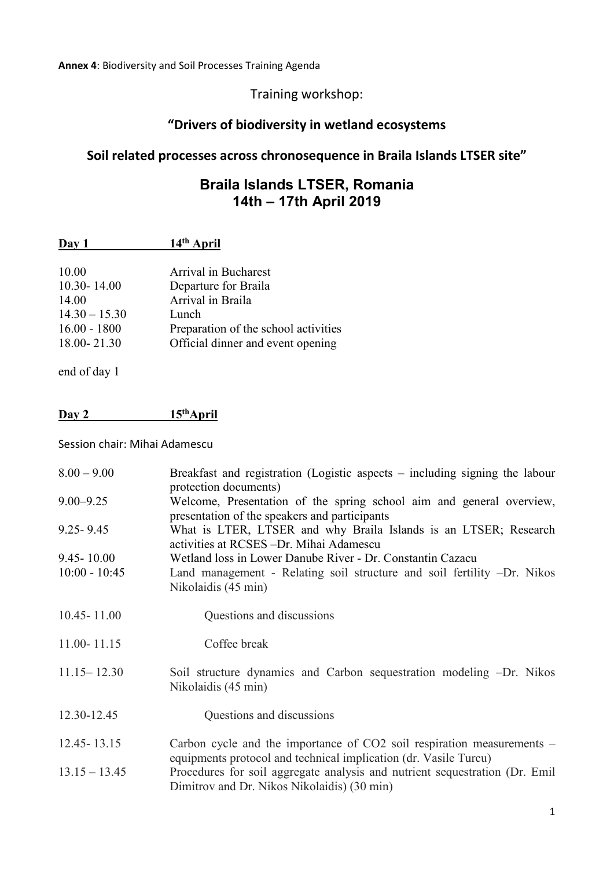#### Training workshop:

# **"Drivers of biodiversity in wetland ecosystems**

# **Soil related processes across chronosequence in Braila Islands LTSER site"**

### **Braila Islands LTSER, Romania 14th – 17th April 2019**

| Day 1 | 14 <sup>th</sup> April |
|-------|------------------------|
|       |                        |

| 10.00           | Arrival in Bucharest                 |
|-----------------|--------------------------------------|
|                 |                                      |
| $10.30 - 14.00$ | Departure for Braila                 |
| 14.00           | Arrival in Braila                    |
| $14.30 - 15.30$ | Lunch                                |
| $16.00 - 1800$  | Preparation of the school activities |
| 18.00-21.30     | Official dinner and event opening    |
|                 |                                      |

end of day 1

### **Day 2 15thApril**

Session chair: Mihai Adamescu

| $8.00 - 9.00$   | Breakfast and registration (Logistic aspects – including signing the labour<br>protection documents)                                           |
|-----------------|------------------------------------------------------------------------------------------------------------------------------------------------|
| $9.00 - 9.25$   | Welcome, Presentation of the spring school aim and general overview,<br>presentation of the speakers and participants                          |
| $9.25 - 9.45$   | What is LTER, LTSER and why Braila Islands is an LTSER; Research<br>activities at RCSES – Dr. Mihai Adamescu                                   |
| $9.45 - 10.00$  | Wetland loss in Lower Danube River - Dr. Constantin Cazacu                                                                                     |
| $10:00 - 10:45$ | Land management - Relating soil structure and soil fertility -Dr. Nikos<br>Nikolaidis (45 min)                                                 |
| $10.45 - 11.00$ | Questions and discussions                                                                                                                      |
| 11.00-11.15     | Coffee break                                                                                                                                   |
| $11.15 - 12.30$ | Soil structure dynamics and Carbon sequestration modeling -Dr. Nikos<br>Nikolaidis (45 min)                                                    |
| 12.30-12.45     | Questions and discussions                                                                                                                      |
| $12.45 - 13.15$ | Carbon cycle and the importance of $CO2$ soil respiration measurements $-$<br>equipments protocol and technical implication (dr. Vasile Turcu) |
| $13.15 - 13.45$ | Procedures for soil aggregate analysis and nutrient sequestration (Dr. Emil<br>Dimitrov and Dr. Nikos Nikolaidis) (30 min)                     |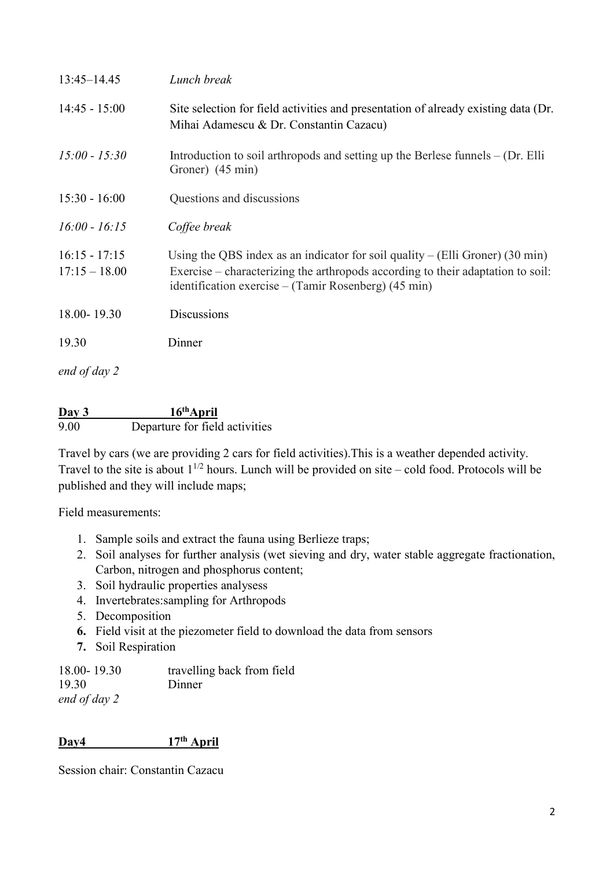| $13:45 - 14.45$                    | Lunch break                                                                                                                                                                                                                                  |
|------------------------------------|----------------------------------------------------------------------------------------------------------------------------------------------------------------------------------------------------------------------------------------------|
| $14:45 - 15:00$                    | Site selection for field activities and presentation of already existing data (Dr.<br>Mihai Adamescu & Dr. Constantin Cazacu)                                                                                                                |
| $15:00 - 15:30$                    | Introduction to soil arthropods and setting up the Berlese funnels $-$ (Dr. Elli<br>Groner) (45 min)                                                                                                                                         |
| $15:30 - 16:00$                    | Questions and discussions                                                                                                                                                                                                                    |
| $16:00 - 16:15$                    | Coffee break                                                                                                                                                                                                                                 |
| $16:15 - 17:15$<br>$17:15 - 18.00$ | Using the QBS index as an indicator for soil quality – (Elli Groner) $(30 \text{ min})$<br>Exercise – characterizing the arthropods according to their adaptation to soil:<br>identification exercise – (Tamir Rosenberg) $(45 \text{ min})$ |
| 18.00-19.30                        | <b>Discussions</b>                                                                                                                                                                                                                           |
| 19.30                              | Dinner                                                                                                                                                                                                                                       |
| end of day 2                       |                                                                                                                                                                                                                                              |

**Day 3 16thApril** 9.00 Departure for field activities

Travel by cars (we are providing 2 cars for field activities).This is a weather depended activity. Travel to the site is about  $1^{1/2}$  hours. Lunch will be provided on site – cold food. Protocols will be published and they will include maps;

Field measurements:

- 1. Sample soils and extract the fauna using Berlieze traps;
- 2. Soil analyses for further analysis (wet sieving and dry, water stable aggregate fractionation, Carbon, nitrogen and phosphorus content;
- 3. Soil hydraulic properties analysess
- 4. Invertebrates:sampling for Arthropods
- 5. Decomposition
- **6.** Field visit at the piezometer field to download the data from sensors
- **7.** Soil Respiration

| 18.00-19.30  | travelling back from field |
|--------------|----------------------------|
| 19.30        | Dinner                     |
| end of day 2 |                            |

#### **Day4 17th April**

Session chair: Constantin Cazacu